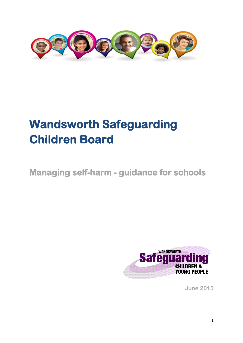

# **Wandsworth Safeguarding Children Board**

**Managing self-harm - guidance for schools** 



**June 2015**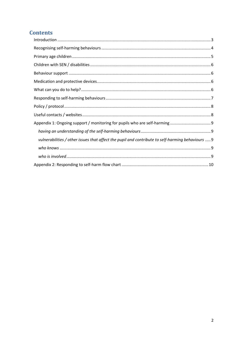# **Contents**

| vulnerabilities / other issues that affect the pupil and contribute to self-harming behaviours  9 |
|---------------------------------------------------------------------------------------------------|
|                                                                                                   |
|                                                                                                   |
|                                                                                                   |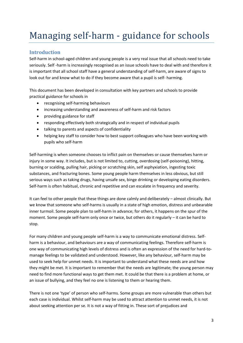# Managing self-harm - guidance for schools

### <span id="page-2-0"></span>**Introduction**

Self-harm in school-aged children and young people is a very real issue that all schools need to take seriously. Self -harm is increasingly recognised as an issue schools have to deal with and therefore it is important that all school staff have a general understanding of self-harm, are aware of signs to look out for and know what to do if they become aware that a pupil is self- harming.

This document has been developed in consultation with key partners and schools to provide practical guidance for schools in

- recognising self-harming behaviours
- increasing understanding and awareness of self-harm and risk factors
- providing guidance for staff
- responding effectively both strategically and in respect of individual pupils
- talking to parents and aspects of confidentiality
- helping key staff to consider how to best support colleagues who have been working with pupils who self-harm

Self-harming is when someone chooses to inflict pain on themselves or cause themselves harm or injury in some way. It includes, but is not limited to, cutting, overdosing (self-poisoning), hitting, burning or scalding, pulling hair, picking or scratching skin, self asphyxiation, ingesting toxic substances, and fracturing bones. Some young people harm themselves in less obvious, but still serious ways such as taking drugs, having unsafe sex, binge drinking or developing eating disorders. Self-harm is often habitual, chronic and repetitive and can escalate in frequency and severity.

It can feel to other people that these things are done calmly and deliberately – almost clinically. But we know that someone who self-harms is usually in a state of high emotion, distress and unbearable inner turmoil. Some people plan to self-harm in advance; for others, it happens on the spur of the moment. Some people self-harm only once or twice, but others do it regularly – it can be hard to stop.

For many children and young people self-harm is a way to communicate emotional distress. Selfharm is a behaviour, and behaviours are a way of communicating feelings. Therefore self-harm is one way of communicating high levels of distress and is often an expression of the need for hard-tomanage feelings to be validated and understood. However, like any behaviour, self-harm may be used to seek help for unmet needs. It is important to understand what these needs are and how they might be met. It is important to remember that the needs are legitimate; the young person may need to find more functional ways to get them met. It could be that there is a problem at home, or an issue of bullying, and they feel no one is listening to them or hearing them.

There is not one 'type' of person who self-harms. Some groups are more vulnerable than others but each case is individual. Whilst self-harm may be used to attract attention to unmet needs, it is not about seeking attention per se. It is not a way of fitting in. These sort of prejudices and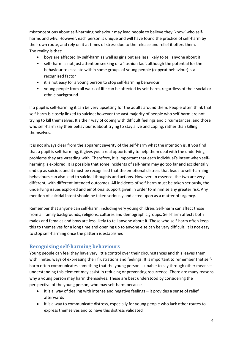misconceptions about self-harming behaviour may lead people to believe they 'know' who selfharms and why. However, each person is unique and will have found the practice of self-harm by their own route, and rely on it at times of stress due to the release and relief it offers them. The reality is that:

- boys are affected by self-harm as well as girls but are less likely to tell anyone about it
- self- harm is not just attention seeking or a 'fashion fad', although the potential for the behaviour to escalate within some groups of young people (copycat behaviour) is a recognised factor
- it is not easy for a young person to stop self-harming behaviour
- young people from all walks of life can be affected by self-harm, regardless of their social or ethnic background

If a pupil is self-harming it can be very upsetting for the adults around them. People often think that self-harm is closely linked to suicide; however the vast majority of people who self-harm are not trying to kill themselves. It's their way of coping with difficult feelings and circumstances, and those who self-harm say their behaviour is about trying to stay alive and coping, rather than killing themselves.

It is not always clear from the apparent severity of the self-harm what the intention is. If you find that a pupil is self-harming, it gives you a real opportunity to help them deal with the underlying problems they are wrestling with. Therefore, it is important that each individual's intent when selfharming is explored. It is possible that some incidents of self-harm may go too far and accidentally end up as suicide, and it must be recognised that the emotional distress that leads to self-harming behaviours can also lead to suicidal thoughts and actions. However, in essence, the two are very different, with different intended outcomes. All incidents of self-harm must be taken seriously, the underlying issues explored and emotional support given in order to minimise any greater risk. Any mention of suicidal intent should be taken seriously and acted upon as a matter of urgency.

Remember that anyone can self-harm, including very young children. Self-harm can affect those from all family backgrounds, religions, cultures and demographic groups. Self-harm affects both males and females and boys are less likely to tell anyone about it. Those who self-harm often keep this to themselves for a long time and opening up to anyone else can be very difficult. It is not easy to stop self-harming once the pattern is established.

#### <span id="page-3-0"></span>**Recognising self-harming behaviours**

Young people can feel they have very little control over their circumstances and this leaves them with limited ways of expressing their frustrations and feelings. It is important to remember that selfharm often communicates something that the young person is unable to say through other means – understanding this element may assist in reducing or preventing recurrence. There are many reasons why a young person may harm themselves. These are best understood by considering the perspective of the young person, who may self-harm because

- it is a way of dealing with intense and negative feelings it provides a sense of relief afterwards
- it is a way to communicate distress, especially for young people who lack other routes to express themselves and to have this distress validated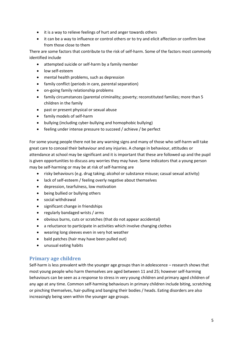- it is a way to relieve feelings of hurt and anger towards others
- it can be a way to influence or control others or to try and elicit affection or confirm love from those close to them

There are some factors that contribute to the risk of self-harm. Some of the factors most commonly identified include

- attempted suicide or self-harm by a family member
- low self-esteem
- mental health problems, such as depression
- family conflict (periods in care, parental separation)
- on-going family relationship problems
- family circumstances (parental criminality; poverty; reconstituted families; more than 5 children in the family
- past or present physical or sexual abuse
- family models of self-harm
- bullying (including cyber-bullying and homophobic bullying)
- feeling under intense pressure to succeed / achieve / be perfect

For some young people there not be any warning signs and many of those who self-harm will take great care to conceal their behaviour and any injuries. A change in behaviour, attitudes or attendance at school may be significant and it is important that these are followed up and the pupil is given opportunities to discuss any worries they may have. Some indicators that a young person may be self-harming or may be at risk of self-harming are

- risky behaviours (e.g. drug taking; alcohol or substance misuse; casual sexual activity)
- lack of self-esteem / feeling overly negative about themselves
- depression, tearfulness, low motivation
- being bullied or bullying others
- social withdrawal
- significant change in friendships
- regularly bandaged wrists / arms
- obvious burns, cuts or scratches (that do not appear accidental)
- a reluctance to participate in activities which involve changing clothes
- wearing long sleeves even in very hot weather
- bald patches (hair may have been pulled out)
- unusual eating habits

#### <span id="page-4-0"></span>**Primary age children**

Self-harm is less prevalent with the younger age groups than in adolescence – research shows that most young people who harm themselves are aged between 11 and 25; however self-harming behaviours can be seen as a response to stress in very young children and primary aged children of any age at any time. Common self-harming behaviours in primary children include biting, scratching or pinching themselves, hair-pulling and banging their bodies / heads. Eating disorders are also increasingly being seen within the younger age groups.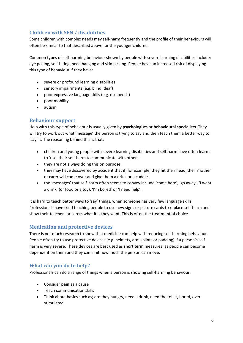# <span id="page-5-0"></span>**Children with SEN / disabilities**

Some children with complex needs may self-harm frequently and the profile of their behaviours will often be similar to that described above for the younger children.

Common types of self-harming behaviour shown by people with severe learning disabilities include: eye poking, self-biting, head banging and skin picking. People have an increased risk of displaying this type of behaviour if they have:

- severe or profound learning disabilities
- sensory impairments (e.g. blind, deaf)
- poor expressive language skills (e.g. no speech)
- poor mobility
- autism

#### <span id="page-5-1"></span>**Behaviour support**

Help with this type of behaviour is usually given by **psychologists** or **behavioural specialists**. They will try to work out what 'message' the person is trying to say and then teach them a better way to 'say' it. The reasoning behind this is that:

- children and young people with severe learning disabilities and self-harm have often learnt to 'use' their self-harm to communicate with others.
- they are not always doing this on purpose.
- they may have discovered by accident that if, for example, they hit their head, their mother or carer will come over and give them a drink or a cuddle.
- the 'messages' that self-harm often seems to convey include 'come here', 'go away', 'I want a drink' (or food or a toy), 'I'm bored' or 'I need help'.

It is hard to teach better ways to 'say' things, when someone has very few language skills. Professionals have tried teaching people to use new signs or picture cards to replace self-harm and show their teachers or carers what it is they want. This is often the treatment of choice.

#### <span id="page-5-2"></span>**Medication and protective devices**

There is not much research to show that medicine can help with reducing self-harming behaviour. People often try to use protective devices (e.g. helmets, arm splints or padding) if a person's selfharm is very severe. These devices are best used as **short term** measures, as people can become dependent on them and they can limit how much the person can move.

#### <span id="page-5-3"></span>**What can you do to help?**

Professionals can do a range of things when a person is showing self-harming behaviour:

- Consider **pain** as a cause
- Teach communication skills
- Think about basics such as; are they hungry, need a drink, need the toilet, bored, over stimulated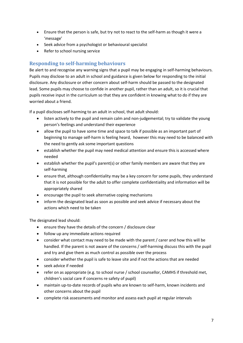- Ensure that the person is safe, but try not to react to the self-harm as though it were a 'message'
- Seek advice from a psychologist or behavioural specialist
- Refer to school nursing service

#### <span id="page-6-0"></span>**Responding to self-harming behaviours**

Be alert to and recognise any warning signs that a pupil may be engaging in self-harming behaviours. Pupils may disclose to an adult in school and guidance is given below for responding to the initial disclosure. Any disclosure or other concern about self-harm should be passed to the designated lead. Some pupils may choose to confide in another pupil, rather than an adult, so it is crucial that pupils receive input in the curriculum so that they are confident in knowing what to do if they are worried about a friend.

If a pupil discloses self-harming to an adult in school, that adult should:

- listen actively to the pupil and remain calm and non-judgemental; try to validate the young person's feelings and understand their experience
- allow the pupil to have some time and space to talk if possible as an important part of beginning to manage self-harm is feeling heard, however this may need to be balanced with the need to gently ask some important questions
- establish whether the pupil may need medical attention and ensure this is accessed where needed
- establish whether the pupil's parent(s) or other family members are aware that they are self-harming
- ensure that, although confidentiality may be a key concern for some pupils, they understand that it is not possible for the adult to offer complete confidentiality and information will be appropriately shared
- encourage the pupil to seek alternative coping mechanisms
- inform the designated lead as soon as possible and seek advice if necessary about the actions which need to be taken

The designated lead should:

- ensure they have the details of the concern / disclosure clear
- follow up any immediate actions required
- consider what contact may need to be made with the parent / carer and how this will be handled. If the parent is not aware of the concerns / self-harming discuss this with the pupil and try and give them as much control as possible over the process
- consider whether the pupil is safe to leave site and if not the actions that are needed
- seek advice if needed
- refer on as appropriate (e.g. to school nurse / school counsellor, CAMHS if threshold met, children's social care if concerns re safety of pupil)
- maintain up-to-date records of pupils who are known to self-harm, known incidents and other concerns about the pupil
- complete risk assessments and monitor and assess each pupil at regular intervals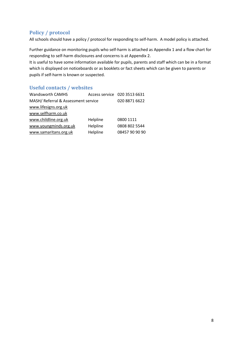# <span id="page-7-0"></span>**Policy / protocol**

All schools should have a policy / protocol for responding to self-harm. A model policy is attached.

Further guidance on monitoring pupils who self-harm is attached as Appendix 1 and a flow chart for responding to self-harm disclosures and concerns is at Appendix 2.

It is useful to have some information available for pupils, parents and staff which can be in a format which is displayed on noticeboards or as booklets or fact sheets which can be given to parents or pupils if self-harm is known or suspected.

## <span id="page-7-1"></span>**Useful contacts / websites**

| <b>Wandsworth CAMHS</b>             |          | Access service 020 3513 6631 |
|-------------------------------------|----------|------------------------------|
| MASH/ Referral & Assessment service |          | 020 8871 6622                |
| www.lifesigns.org.uk                |          |                              |
| www.selfharm.co.uk                  |          |                              |
| www.childline.org.uk                | Helpline | 0800 1111                    |
| www.youngminds.org.uk               | Helpline | 0808 802 5544                |
| www.samaritans.org.uk               | Helpline | 08457 90 90 90               |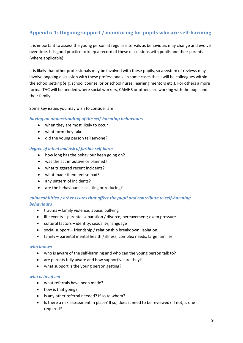# <span id="page-8-0"></span>**Appendix 1: Ongoing support / monitoring for pupils who are self-harming**

It is important to assess the young person at regular intervals as behaviours may change and evolve over time. It is good practice to keep a record of these discussions with pupils and their parents (where applicable).

It is likely that other professionals may be involved with these pupils, so a system of reviews may involve ongoing discussion with these professionals. In some cases these will be colleagues within the school setting (e.g. school counsellor or school nurse, learning mentors etc.). For others a more formal TAC will be needed where social workers, CAMHS or others are working with the pupil and their family.

Some key issues you may wish to consider are

#### <span id="page-8-1"></span>*having an understanding of the self-harming behaviours*

- when they are most likely to occur
- what form they take
- did the young person tell anyone?

#### *degree of intent and risk of further self-harm*

- how long has the behaviour been going on?
- was the act impulsive or planned?
- what triggered recent incidents?
- what made them feel so bad?
- any pattern of incidents?
- are the behaviours escalating or reducing?

#### <span id="page-8-2"></span>*vulnerabilities / other issues that affect the pupil and contribute to self-harming behaviours*

- trauma family violence; abuse; bullying
- life events parental separation / divorce; bereavement; exam pressure
- cultural factors identity; sexuality; language
- social support friendship / relationship breakdown; isolation
- family parental mental health / illness; complex needs; large families

#### <span id="page-8-3"></span>*who knows*

- who is aware of the self-harming and who can the young person talk to?
- are parents fully aware and how supportive are they?
- what support is the young person getting?

#### <span id="page-8-4"></span>*who is involved*

- what referrals have been made?
- how is that going?
- is any other referral needed? If so to whom?
- Is there a risk assessment in place? If so, does it need to be reviewed? If not, is one required?